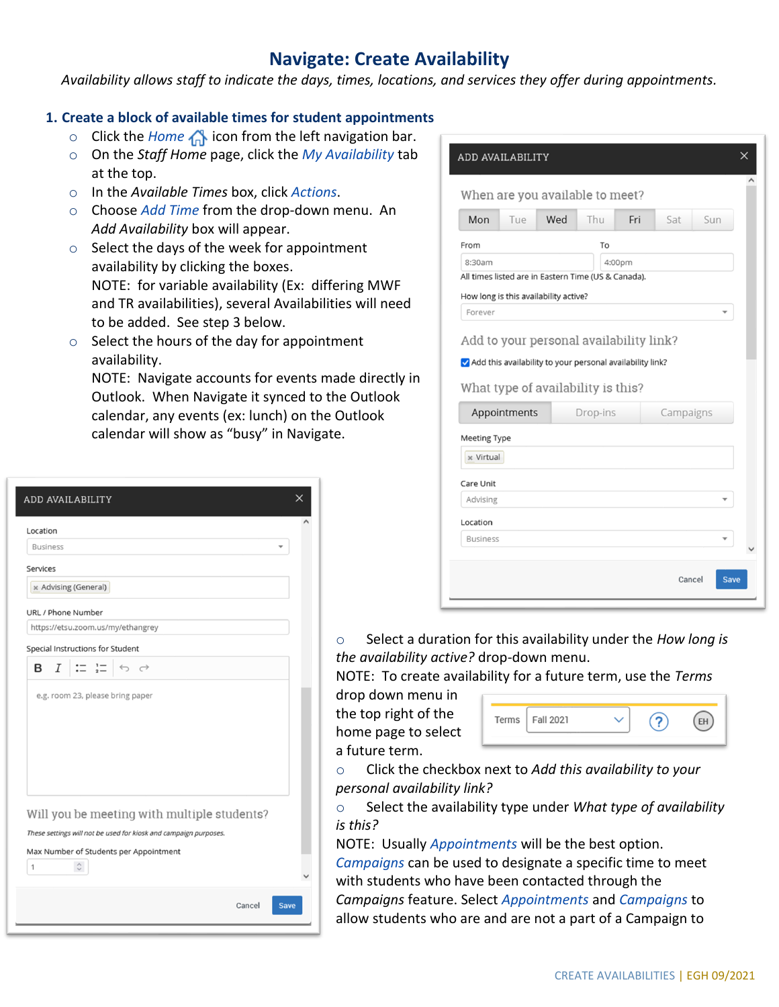## **Navigate: Create Availability**

*Availability allows staff to indicate the days, times, locations, and services they offer during appointments.*

### **1. Create a block of available times for student appointments**

- o Click the *Home* **inde** icon from the left navigation bar.
- o On the *Staff Home* page, click the *My Availability* tab at the top.
- o In the *Available Times* box, click *Actions*.
- o Choose *Add Time* from the drop-down menu. An *Add Availability* box will appear.
- o Select the days of the week for appointment availability by clicking the boxes. NOTE: for variable availability (Ex: differing MWF and TR availabilities), several Availabilities will need to be added. See step 3 below.
- $\circ$  Select the hours of the day for appointment availability.

NOTE: Navigate accounts for events made directly in Outlook. When Navigate it synced to the Outlook calendar, any events (ex: lunch) on the Outlook calendar will show as "busy" in Navigate.

| ADD AVAILABILITY                                                                                                                                    | X |
|-----------------------------------------------------------------------------------------------------------------------------------------------------|---|
| Location                                                                                                                                            |   |
| <b>Business</b>                                                                                                                                     |   |
| Services                                                                                                                                            |   |
| » Advising (General)                                                                                                                                |   |
| URL / Phone Number                                                                                                                                  |   |
| https://etsu.zoom.us/my/ethangrey                                                                                                                   |   |
| Special Instructions for Student                                                                                                                    |   |
| $\mathrel{\mathop:}= \mathrel{\mathop:}=  \Leftrightarrow \;\; \mathrel{\mathop\sim}$<br>$B$ $I$                                                    |   |
| e.g. room 23, please bring paper<br>Will you be meeting with multiple students?<br>These settings will not be used for kiosk and campaign purposes. |   |
| Max Number of Students per Appointment                                                                                                              |   |
| 1                                                                                                                                                   |   |
| Cancel<br><b>Save</b>                                                                                                                               |   |

| Mon                              | Tue                                                                                                                                        | Wed | Thu      | Fri    | Sat       | Sun |
|----------------------------------|--------------------------------------------------------------------------------------------------------------------------------------------|-----|----------|--------|-----------|-----|
| From                             |                                                                                                                                            |     | To       |        |           |     |
| 8:30am                           |                                                                                                                                            |     |          | 4:00pm |           |     |
|                                  | All times listed are in Eastern Time (US & Canada).                                                                                        |     |          |        |           |     |
|                                  | How long is this availability active?                                                                                                      |     |          |        |           |     |
| Forever                          |                                                                                                                                            |     |          |        |           |     |
|                                  | Add to your personal availability link?<br>Add this availability to your personal availability link?<br>What type of availability is this? |     |          |        |           |     |
|                                  | Appointments                                                                                                                               |     | Drop-ins |        | Campaigns |     |
|                                  |                                                                                                                                            |     |          |        |           |     |
| <b>Meeting Type</b><br>x Virtual |                                                                                                                                            |     |          |        |           |     |
|                                  |                                                                                                                                            |     |          |        |           |     |
| Care Unit                        |                                                                                                                                            |     |          |        |           |     |
| Advising                         |                                                                                                                                            |     |          |        |           |     |
| Location<br><b>Business</b>      |                                                                                                                                            |     |          |        |           |     |

o Select a duration for this availability under the *How long is the availability active?* drop-down menu.

NOTE: To create availability for a future term, use the *Terms*

drop down menu in the top right of the home page to select a future term.

| Terms $ $ Fall 2021 |  |  |
|---------------------|--|--|
|                     |  |  |

o Click the checkbox next to *Add this availability to your personal availability link?*

o Select the availability type under *What type of availability is this?*

NOTE: Usually *Appointments* will be the best option.

*Campaigns* can be used to designate a specific time to meet with students who have been contacted through the

*Campaigns* feature. Select *Appointments* and *Campaigns* to allow students who are and are not a part of a Campaign to